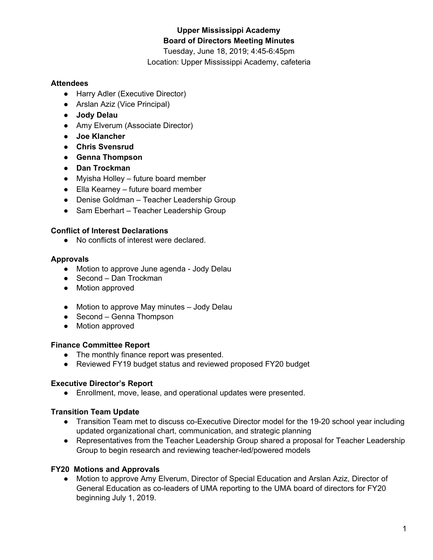# **Upper Mississippi Academy Board of Directors Meeting Minutes**

Tuesday, June 18, 2019; 4:45-6:45pm Location: Upper Mississippi Academy, cafeteria

### **Attendees**

- Harry Adler (Executive Director)
- Arslan Aziz (Vice Principal)
- **● Jody Delau**
- Amy Elverum (Associate Director)
- **● Joe Klancher**
- **● Chris Svensrud**
- **● Genna Thompson**
- **● Dan Trockman**
- Myisha Holley future board member
- Ella Kearney future board member
- Denise Goldman Teacher Leadership Group
- Sam Eberhart Teacher Leadership Group

### **Conflict of Interest Declarations**

● No conflicts of interest were declared.

#### **Approvals**

- Motion to approve June agenda Jody Delau
- Second Dan Trockman
- Motion approved
- Motion to approve May minutes Jody Delau
- Second Genna Thompson
- Motion approved

### **Finance Committee Report**

- The monthly finance report was presented.
- Reviewed FY19 budget status and reviewed proposed FY20 budget

### **Executive Director's Report**

● Enrollment, move, lease, and operational updates were presented.

### **Transition Team Update**

- Transition Team met to discuss co-Executive Director model for the 19-20 school year including updated organizational chart, communication, and strategic planning
- Representatives from the Teacher Leadership Group shared a proposal for Teacher Leadership Group to begin research and reviewing teacher-led/powered models

### **FY20 Motions and Approvals**

● Motion to approve Amy Elverum, Director of Special Education and Arslan Aziz, Director of General Education as co-leaders of UMA reporting to the UMA board of directors for FY20 beginning July 1, 2019.